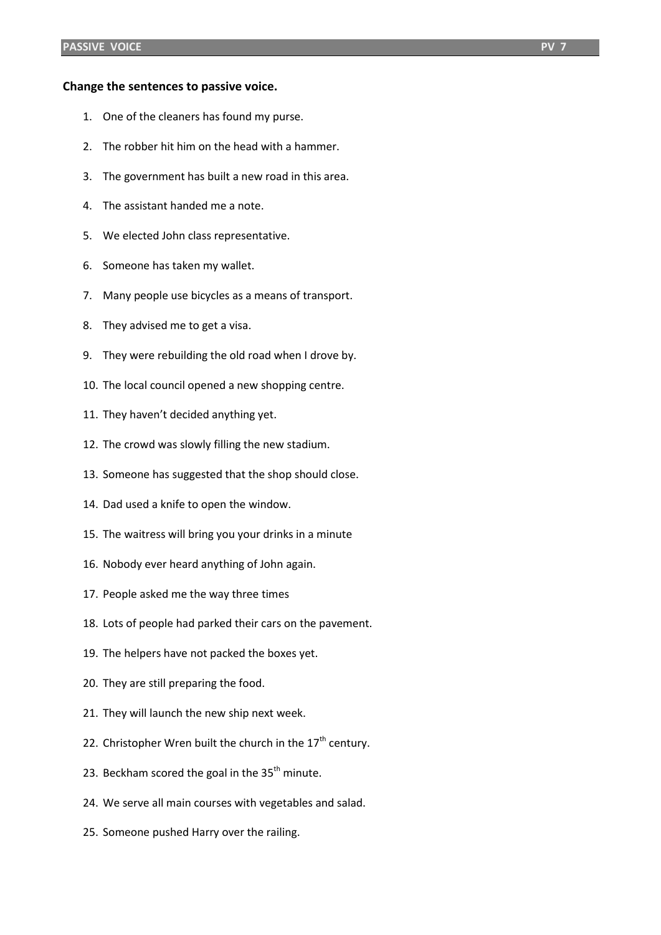## **Change the sentences to passive voice.**

- 1. One of the cleaners has found my purse.
- 2. The robber hit him on the head with a hammer.
- 3. The government has built a new road in this area.
- 4. The assistant handed me a note.
- 5. We elected John class representative.
- 6. Someone has taken my wallet.
- 7. Many people use bicycles as a means of transport.
- 8. They advised me to get a visa.
- 9. They were rebuilding the old road when I drove by.
- 10. The local council opened a new shopping centre.
- 11. They haven't decided anything yet.
- 12. The crowd was slowly filling the new stadium.
- 13. Someone has suggested that the shop should close.
- 14. Dad used a knife to open the window.
- 15. The waitress will bring you your drinks in a minute
- 16. Nobody ever heard anything of John again.
- 17. People asked me the way three times
- 18. Lots of people had parked their cars on the pavement.
- 19. The helpers have not packed the boxes yet.
- 20. They are still preparing the food.
- 21. They will launch the new ship next week.
- 22. Christopher Wren built the church in the  $17<sup>th</sup>$  century.
- 23. Beckham scored the goal in the  $35<sup>th</sup>$  minute.
- 24. We serve all main courses with vegetables and salad.
- 25. Someone pushed Harry over the railing.